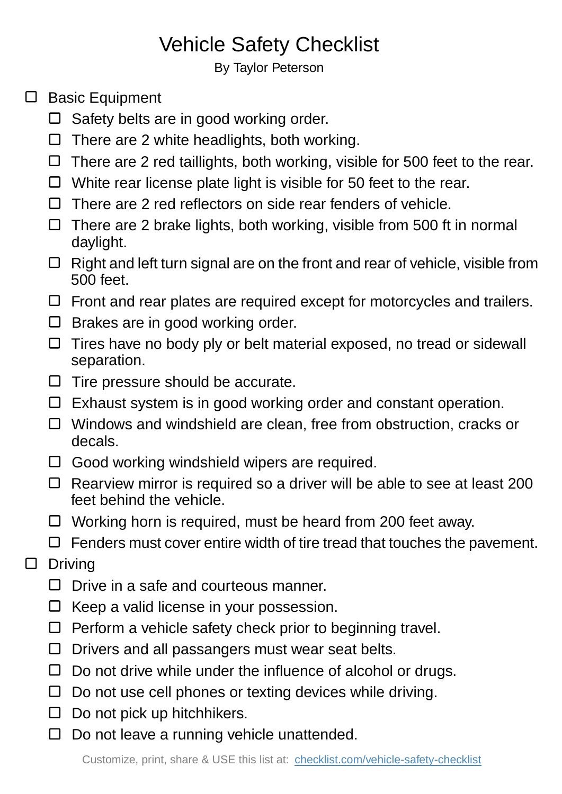## Vehicle Safety Checklist

By Taylor Peterson

- $\square$  Basic Equipment
	- □ Safety belts are in good working order.
	- $\Box$  There are 2 white headlights, both working.
	- $\Box$  There are 2 red taillights, both working, visible for 500 feet to the rear.
	- $\Box$  White rear license plate light is visible for 50 feet to the rear.
	- $\Box$  There are 2 red reflectors on side rear fenders of vehicle.
	- $\Box$  There are 2 brake lights, both working, visible from 500 ft in normal daylight.
	- $\Box$  Right and left turn signal are on the front and rear of vehicle, visible from 500 feet.
	- $\Box$  Front and rear plates are required except for motorcycles and trailers.
	- $\Box$  Brakes are in good working order.
	- $\Box$  Tires have no body ply or belt material exposed, no tread or sidewall separation.
	- $\Box$  Tire pressure should be accurate.
	- $\Box$  Exhaust system is in good working order and constant operation.
	- $\Box$  Windows and windshield are clean, free from obstruction, cracks or decals.
	- $\Box$  Good working windshield wipers are required.
	- $\Box$  Rearview mirror is required so a driver will be able to see at least 200 feet behind the vehicle.
	- $\Box$  Working horn is required, must be heard from 200 feet away.
	- $\Box$  Fenders must cover entire width of tire tread that touches the pavement.
- $\Box$ Driving
	- $\Box$  Drive in a safe and courteous manner.
	- $\Box$  Keep a valid license in your possession.
	- $\Box$  Perform a vehicle safety check prior to beginning travel.
	- $\Box$  Drivers and all passangers must wear seat belts.
	- $\Box$  Do not drive while under the influence of alcohol or drugs.
	- $\square$  Do not use cell phones or texting devices while driving.
	- $\Box$  Do not pick up hitchhikers.
	- $\Box$  Do not leave a running vehicle unattended.